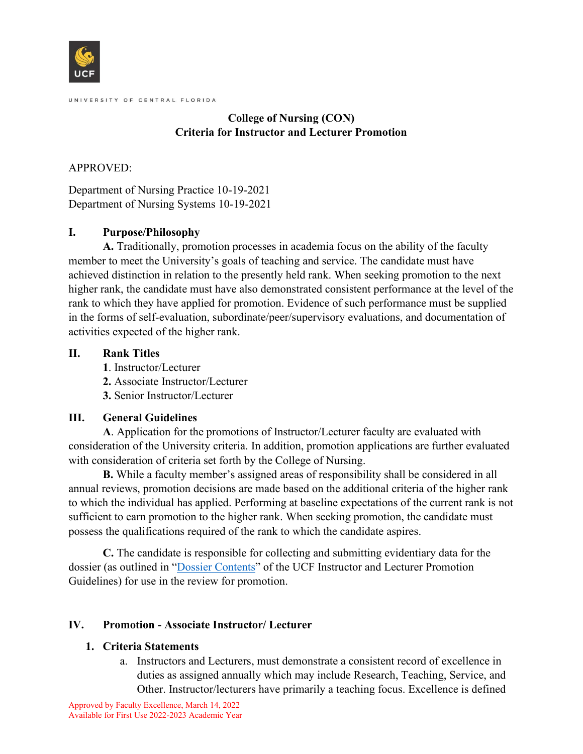

## **College of Nursing (CON) Criteria for Instructor and Lecturer Promotion**

### APPROVED:

Department of Nursing Practice 10-19-2021 Department of Nursing Systems 10-19-2021

### **I. Purpose/Philosophy**

**A.** Traditionally, promotion processes in academia focus on the ability of the faculty member to meet the University's goals of teaching and service. The candidate must have achieved distinction in relation to the presently held rank. When seeking promotion to the next higher rank, the candidate must have also demonstrated consistent performance at the level of the rank to which they have applied for promotion. Evidence of such performance must be supplied in the forms of self-evaluation, subordinate/peer/supervisory evaluations, and documentation of activities expected of the higher rank.

### **II. Rank Titles**

- **1**. Instructor/Lecturer
- **2.** Associate Instructor/Lecturer
- **3.** Senior Instructor/Lecturer

# **III. General Guidelines**

**A**. Application for the promotions of Instructor/Lecturer faculty are evaluated with consideration of the University criteria. In addition, promotion applications are further evaluated with consideration of criteria set forth by the College of Nursing.

**B.** While a faculty member's assigned areas of responsibility shall be considered in all annual reviews, promotion decisions are made based on the additional criteria of the higher rank to which the individual has applied. Performing at baseline expectations of the current rank is not sufficient to earn promotion to the higher rank. When seeking promotion, the candidate must possess the qualifications required of the rank to which the candidate aspires.

**C.** The candidate is responsible for collecting and submitting evidentiary data for the dossier (as outlined in ["Dossier Contents"](https://facultyexcellence.ucf.edu/document/dossier-contents-i-l/) of the UCF Instructor and Lecturer Promotion Guidelines) for use in the review for promotion.

# **IV. Promotion - Associate Instructor/ Lecturer**

# **1. Criteria Statements**

a. Instructors and Lecturers, must demonstrate a consistent record of excellence in duties as assigned annually which may include Research, Teaching, Service, and Other. Instructor/lecturers have primarily a teaching focus. Excellence is defined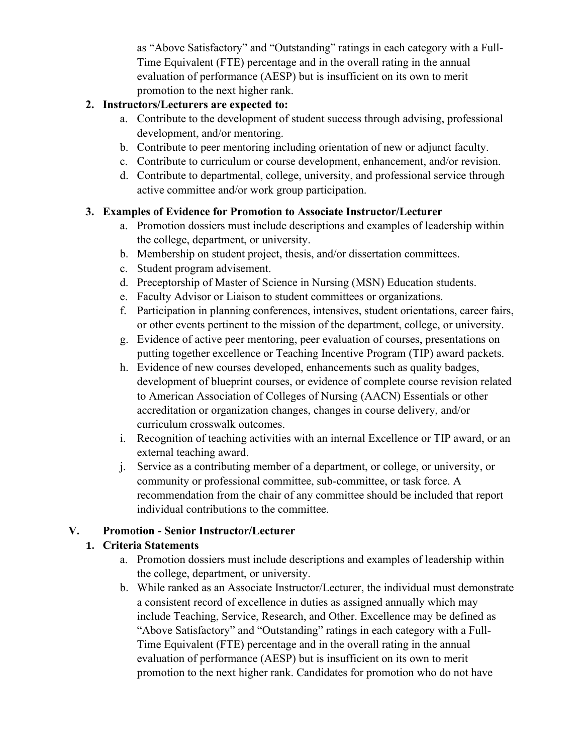as "Above Satisfactory" and "Outstanding" ratings in each category with a Full-Time Equivalent (FTE) percentage and in the overall rating in the annual evaluation of performance (AESP) but is insufficient on its own to merit promotion to the next higher rank.

#### **2. Instructors/Lecturers are expected to:**

- a. Contribute to the development of student success through advising, professional development, and/or mentoring.
- b. Contribute to peer mentoring including orientation of new or adjunct faculty.
- c. Contribute to curriculum or course development, enhancement, and/or revision.
- d. Contribute to departmental, college, university, and professional service through active committee and/or work group participation.

#### **3. Examples of Evidence for Promotion to Associate Instructor/Lecturer**

- a. Promotion dossiers must include descriptions and examples of leadership within the college, department, or university.
- b. Membership on student project, thesis, and/or dissertation committees.
- c. Student program advisement.
- d. Preceptorship of Master of Science in Nursing (MSN) Education students.
- e. Faculty Advisor or Liaison to student committees or organizations.
- f. Participation in planning conferences, intensives, student orientations, career fairs, or other events pertinent to the mission of the department, college, or university.
- g. Evidence of active peer mentoring, peer evaluation of courses, presentations on putting together excellence or Teaching Incentive Program (TIP) award packets.
- h. Evidence of new courses developed, enhancements such as quality badges, development of blueprint courses, or evidence of complete course revision related to American Association of Colleges of Nursing (AACN) Essentials or other accreditation or organization changes, changes in course delivery, and/or curriculum crosswalk outcomes.
- i. Recognition of teaching activities with an internal Excellence or TIP award, or an external teaching award.
- j. Service as a contributing member of a department, or college, or university, or community or professional committee, sub-committee, or task force. A recommendation from the chair of any committee should be included that report individual contributions to the committee.

### **V. Promotion - Senior Instructor/Lecturer**

#### **1. Criteria Statements**

- a. Promotion dossiers must include descriptions and examples of leadership within the college, department, or university.
- b. While ranked as an Associate Instructor/Lecturer, the individual must demonstrate a consistent record of excellence in duties as assigned annually which may include Teaching, Service, Research, and Other. Excellence may be defined as "Above Satisfactory" and "Outstanding" ratings in each category with a Full-Time Equivalent (FTE) percentage and in the overall rating in the annual evaluation of performance (AESP) but is insufficient on its own to merit promotion to the next higher rank. Candidates for promotion who do not have